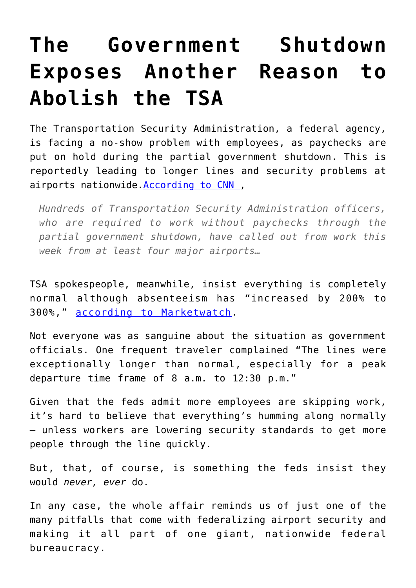## **[The Government Shutdown](https://intellectualtakeout.org/2019/01/the-government-shutdown-exposes-another-reason-to-abolish-the-tsa/) [Exposes Another Reason to](https://intellectualtakeout.org/2019/01/the-government-shutdown-exposes-another-reason-to-abolish-the-tsa/) [Abolish the TSA](https://intellectualtakeout.org/2019/01/the-government-shutdown-exposes-another-reason-to-abolish-the-tsa/)**

The Transportation Security Administration, a federal agency, is facing a no-show problem with employees, as paychecks are put on hold during the partial government shutdown. This is reportedly leading to longer lines and security problems at airports nationwide. According to CNN,

*Hundreds of Transportation Security Administration officers, who are required to work without paychecks through the partial government shutdown, have called out from work this week from at least four major airports…*

TSA spokespeople, meanwhile, insist everything is completely normal although absenteeism has "increased by 200% to 300%," [according to Marketwatch](https://www.marketwatch.com/story/get-to-the-airport-early-government-shutdown-could-double-security-lines-2019-01-04).

Not everyone was as sanguine about the situation as government officials. One frequent traveler complained "The lines were exceptionally longer than normal, especially for a peak departure time frame of 8 a.m. to 12:30 p.m."

Given that the feds admit more employees are skipping work, it's hard to believe that everything's humming along normally — unless workers are lowering security standards to get more people through the line quickly.

But, that, of course, is something the feds insist they would *never, ever* do.

In any case, the whole affair reminds us of just one of the many pitfalls that come with federalizing airport security and making it all part of one giant, nationwide federal bureaucracy.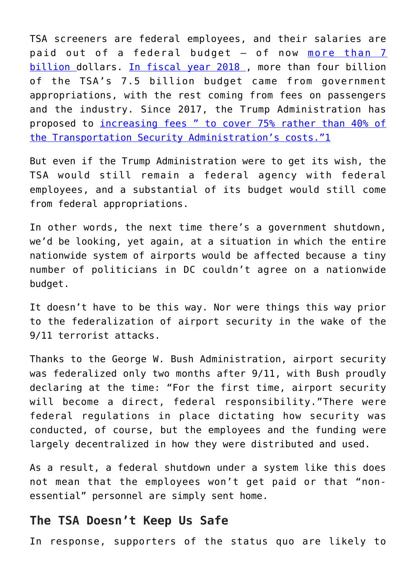TSA screeners are federal employees, and their salaries are paid out of a federal budget — of now [more than 7](https://www.tsa.gov/news/testimony/2018/04/12/examining-presidents-fy-2019-budget-request-transportation-security) [billion](https://www.tsa.gov/news/testimony/2018/04/12/examining-presidents-fy-2019-budget-request-transportation-security) dollars. [In fiscal year 2018](https://www.dhs.gov/sites/default/files/publications/TSA%20FY18%20Budget.pdf) , more than four billion of the TSA's 7.5 billion budget came from government appropriations, with the rest coming from fees on passengers and the industry. Since 2017, the Trump Administration has proposed to [increasing fees " to cover 75% rather than 40% of](https://www.usatoday.com/story/travel/columnist/mcgee/2017/03/29/airports/99744116/) [the Transportation Security Administration's costs."](https://www.usatoday.com/story/travel/columnist/mcgee/2017/03/29/airports/99744116/)[1](https://mises.org/wire/government-shutdown-exposes-another-reason-abolish-tsa#footnote1_b0h3cx8)

But even if the Trump Administration were to get its wish, the TSA would still remain a federal agency with federal employees, and a substantial of its budget would still come from federal appropriations.

In other words, the next time there's a government shutdown, we'd be looking, yet again, at a situation in which the entire nationwide system of airports would be affected because a tiny number of politicians in DC couldn't agree on a nationwide budget.

It doesn't have to be this way. Nor were things this way prior to the federalization of airport security in the wake of the 9/11 terrorist attacks.

Thanks to the George W. Bush Administration, airport security was federalized only two months after 9/11, with Bush proudly declaring at the time: "For the first time, airport security will become a direct, federal responsibility."There were federal regulations in place dictating how security was conducted, of course, but the employees and the funding were largely decentralized in how they were distributed and used.

As a result, a federal shutdown under a system like this does not mean that the employees won't get paid or that "nonessential" personnel are simply sent home.

## **The TSA Doesn't Keep Us Safe**

In response, supporters of the status quo are likely to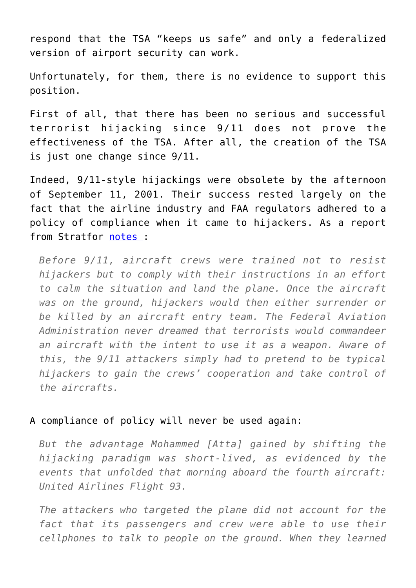respond that the TSA "keeps us safe" and only a federalized version of airport security can work.

Unfortunately, for them, there is no evidence to support this position.

First of all, that there has been no serious and successful terrorist hijacking since 9/11 does not prove the effectiveness of the TSA. After all, the creation of the TSA is just one change since 9/11.

Indeed, 9/11-style hijackings were obsolete by the afternoon of September 11, 2001. Their success rested largely on the fact that the airline industry and FAA regulators adhered to a policy of compliance when it came to hijackers. As a report from Stratfor [notes](https://worldview.stratfor.com/article/remembering-lessons-911) :

*Before 9/11, aircraft crews were trained not to resist hijackers but to comply with their instructions in an effort to calm the situation and land the plane. Once the aircraft was on the ground, hijackers would then either surrender or be killed by an aircraft entry team. The Federal Aviation Administration never dreamed that terrorists would commandeer an aircraft with the intent to use it as a weapon. Aware of this, the 9/11 attackers simply had to pretend to be typical hijackers to gain the crews' cooperation and take control of the aircrafts.*

## A compliance of policy will never be used again:

*But the advantage Mohammed [Atta] gained by shifting the hijacking paradigm was short-lived, as evidenced by the events that unfolded that morning aboard the fourth aircraft: United Airlines Flight 93.*

*The attackers who targeted the plane did not account for the fact that its passengers and crew were able to use their cellphones to talk to people on the ground. When they learned*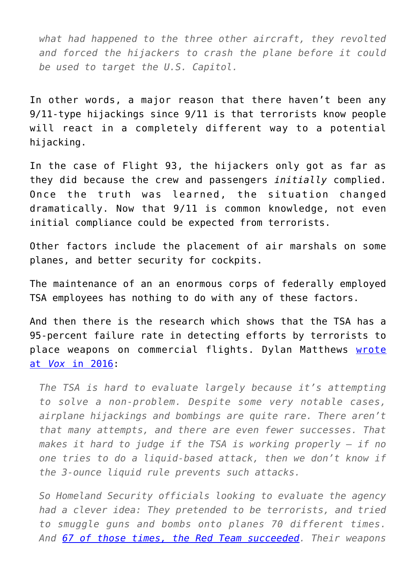*what had happened to the three other aircraft, they revolted and forced the hijackers to crash the plane before it could be used to target the U.S. Capitol.*

In other words, a major reason that there haven't been any 9/11-type hijackings since 9/11 is that terrorists know people will react in a completely different way to a potential hijacking.

In the case of Flight 93, the hijackers only got as far as they did because the crew and passengers *initially* complied. Once the truth was learned, the situation changed dramatically. Now that 9/11 is common knowledge, not even initial compliance could be expected from terrorists.

Other factors include the placement of air marshals on some planes, and better security for cockpits.

The maintenance of an an enormous corps of federally employed TSA employees has nothing to do with any of these factors.

And then there is the research which shows that the TSA has a 95-percent failure rate in detecting efforts by terrorists to place weapons on commercial flights. Dylan Matthews [wrote](https://www.vox.com/2016/5/17/11687014/tsa-against-airport-security) [at](https://www.vox.com/2016/5/17/11687014/tsa-against-airport-security) *[Vox](https://www.vox.com/2016/5/17/11687014/tsa-against-airport-security)* [in 2016](https://www.vox.com/2016/5/17/11687014/tsa-against-airport-security):

*The TSA is hard to evaluate largely because it's attempting to solve a non-problem. Despite some very notable cases, airplane hijackings and bombings are quite rare. There aren't that many attempts, and there are even fewer successes. That makes it hard to judge if the TSA is working properly — if no one tries to do a liquid-based attack, then we don't know if the 3-ounce liquid rule prevents such attacks.*

*So Homeland Security officials looking to evaluate the agency had a clever idea: They pretended to be terrorists, and tried to smuggle guns and bombs onto planes 70 different times. And [67 of those times, the Red Team succeeded.](http://abcnews.go.com/US/exclusive-undercover-dhs-tests-find-widespread-security-failures/story?id=31434881) Their weapons*